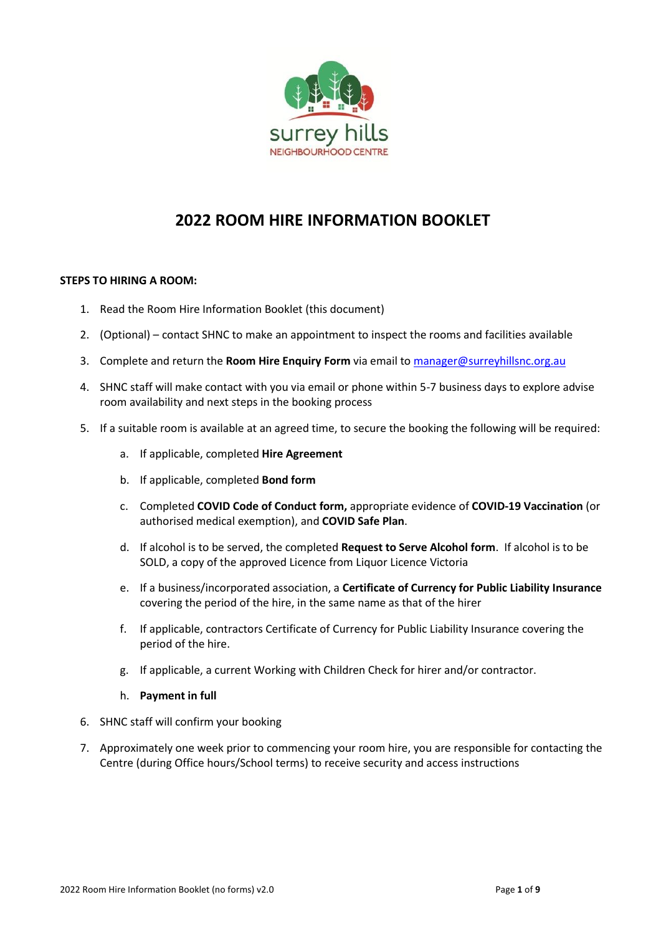

## **2022 ROOM HIRE INFORMATION BOOKLET**

#### **STEPS TO HIRING A ROOM:**

- 1. Read the Room Hire Information Booklet (this document)
- 2. (Optional) contact SHNC to make an appointment to inspect the rooms and facilities available
- 3. Complete and return the **Room Hire Enquiry Form** via email t[o manager@surreyhillsnc.org.au](mailto:manager@surreyhillsnc.org.au)
- 4. SHNC staff will make contact with you via email or phone within 5-7 business days to explore advise room availability and next steps in the booking process
- 5. If a suitable room is available at an agreed time, to secure the booking the following will be required:
	- a. If applicable, completed **Hire Agreement**
	- b. If applicable, completed **Bond form**
	- c. Completed **COVID Code of Conduct form,** appropriate evidence of **COVID-19 Vaccination** (or authorised medical exemption), and **COVID Safe Plan**.
	- d. If alcohol is to be served, the completed **Request to Serve Alcohol form**. If alcohol is to be SOLD, a copy of the approved Licence from Liquor Licence Victoria
	- e. If a business/incorporated association, a **Certificate of Currency for Public Liability Insurance** covering the period of the hire, in the same name as that of the hirer
	- f. If applicable, contractors Certificate of Currency for Public Liability Insurance covering the period of the hire.
	- g. If applicable, a current Working with Children Check for hirer and/or contractor.
	- h. **Payment in full**
- 6. SHNC staff will confirm your booking
- 7. Approximately one week prior to commencing your room hire, you are responsible for contacting the Centre (during Office hours/School terms) to receive security and access instructions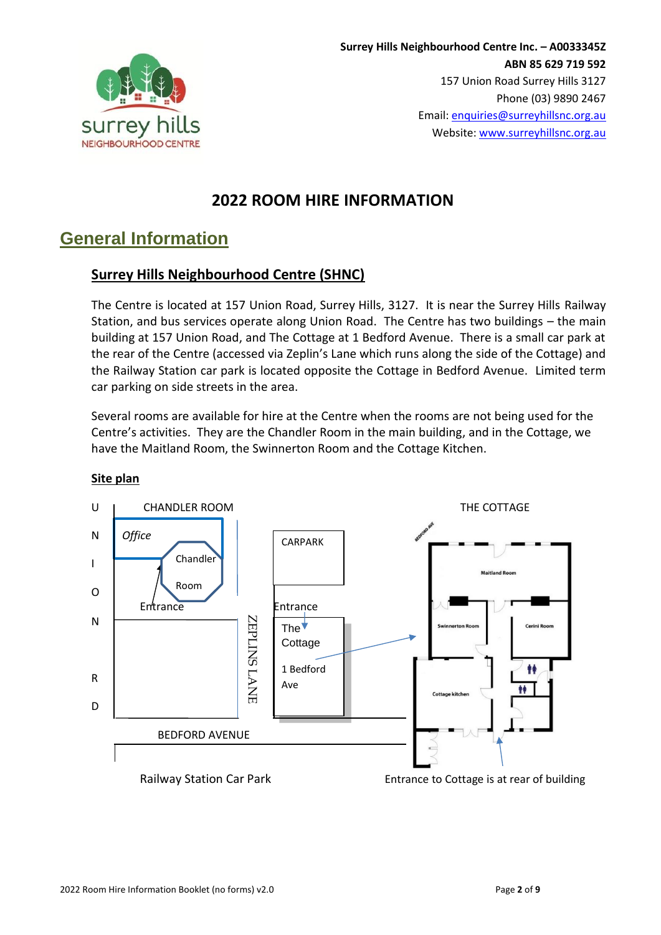

## **2022 ROOM HIRE INFORMATION**

## **General Information**

## **Surrey Hills Neighbourhood Centre (SHNC)**

The Centre is located at 157 Union Road, Surrey Hills, 3127. It is near the Surrey Hills Railway Station, and bus services operate along Union Road. The Centre has two buildings – the main building at 157 Union Road, and The Cottage at 1 Bedford Avenue. There is a small car park at the rear of the Centre (accessed via Zeplin's Lane which runs along the side of the Cottage) and the Railway Station car park is located opposite the Cottage in Bedford Avenue. Limited term car parking on side streets in the area.

Several rooms are available for hire at the Centre when the rooms are not being used for the Centre's activities. They are the Chandler Room in the main building, and in the Cottage, we have the Maitland Room, the Swinnerton Room and the Cottage Kitchen.



#### **Site plan**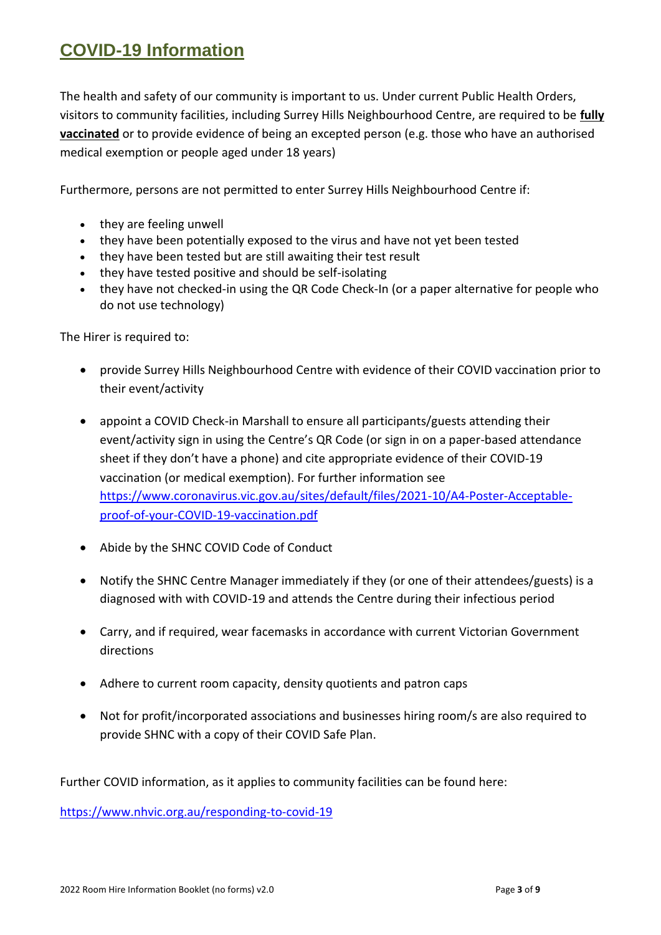# **COVID-19 Information**

The health and safety of our community is important to us. Under current Public Health Orders, visitors to community facilities, including Surrey Hills Neighbourhood Centre, are required to be **fully vaccinated** or to provide evidence of being an excepted person (e.g. those who have an authorised medical exemption or people aged under 18 years)

Furthermore, persons are not permitted to enter Surrey Hills Neighbourhood Centre if:

- they are feeling unwell
- they have been potentially exposed to the virus and have not yet been tested
- they have been tested but are still awaiting their test result
- they have tested positive and should be self-isolating
- they have not checked-in using the QR Code Check-In (or a paper alternative for people who do not use technology)

The Hirer is required to:

- provide Surrey Hills Neighbourhood Centre with evidence of their COVID vaccination prior to their event/activity
- appoint a COVID Check-in Marshall to ensure all participants/guests attending their event/activity sign in using the Centre's QR Code (or sign in on a paper-based attendance sheet if they don't have a phone) and cite appropriate evidence of their COVID-19 vaccination (or medical exemption). For further information see [https://www.coronavirus.vic.gov.au/sites/default/files/2021-10/A4-Poster-Acceptable](https://www.coronavirus.vic.gov.au/sites/default/files/2021-10/A4-Poster-Acceptable-proof-of-your-COVID-19-vaccination.pdf)[proof-of-your-COVID-19-vaccination.pdf](https://www.coronavirus.vic.gov.au/sites/default/files/2021-10/A4-Poster-Acceptable-proof-of-your-COVID-19-vaccination.pdf)
- Abide by the SHNC COVID Code of Conduct
- Notify the SHNC Centre Manager immediately if they (or one of their attendees/guests) is a diagnosed with with COVID-19 and attends the Centre during their infectious period
- Carry, and if required, wear facemasks in accordance with current Victorian Government directions
- Adhere to current room capacity, density quotients and patron caps
- Not for profit/incorporated associations and businesses hiring room/s are also required to provide SHNC with a copy of their COVID Safe Plan.

Further COVID information, as it applies to community facilities can be found here:

<https://www.nhvic.org.au/responding-to-covid-19>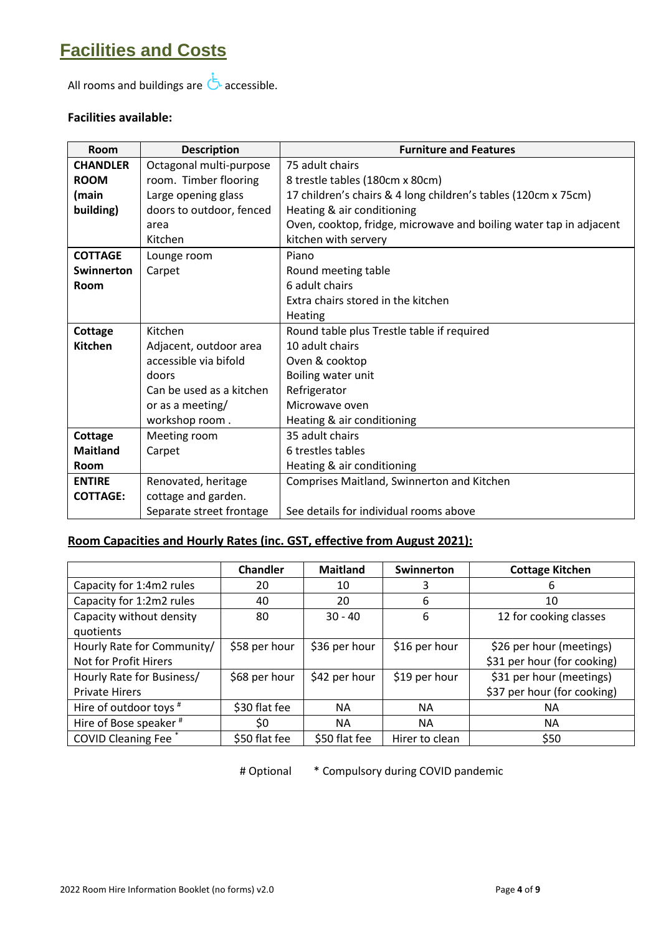# **Facilities and Costs**

All rooms and buildings are  $\overline{d}$  accessible.

### **Facilities available:**

| Room            | <b>Description</b>       | <b>Furniture and Features</b>                                      |
|-----------------|--------------------------|--------------------------------------------------------------------|
| <b>CHANDLER</b> | Octagonal multi-purpose  | 75 adult chairs                                                    |
| <b>ROOM</b>     | room. Timber flooring    | 8 trestle tables (180cm x 80cm)                                    |
| (main           | Large opening glass      | 17 children's chairs & 4 long children's tables (120cm x 75cm)     |
| building)       | doors to outdoor, fenced | Heating & air conditioning                                         |
|                 | area                     | Oven, cooktop, fridge, microwave and boiling water tap in adjacent |
|                 | Kitchen                  | kitchen with servery                                               |
| <b>COTTAGE</b>  | Lounge room              | Piano                                                              |
| Swinnerton      | Carpet                   | Round meeting table                                                |
| Room            |                          | 6 adult chairs                                                     |
|                 |                          | Extra chairs stored in the kitchen                                 |
|                 |                          | Heating                                                            |
| Cottage         | Kitchen                  | Round table plus Trestle table if required                         |
| <b>Kitchen</b>  | Adjacent, outdoor area   | 10 adult chairs                                                    |
|                 | accessible via bifold    | Oven & cooktop                                                     |
|                 | doors                    | Boiling water unit                                                 |
|                 | Can be used as a kitchen | Refrigerator                                                       |
|                 | or as a meeting/         | Microwave oven                                                     |
|                 | workshop room.           | Heating & air conditioning                                         |
| Cottage         | Meeting room             | 35 adult chairs                                                    |
| <b>Maitland</b> | Carpet                   | 6 trestles tables                                                  |
| <b>Room</b>     |                          | Heating & air conditioning                                         |
| <b>ENTIRE</b>   | Renovated, heritage      | Comprises Maitland, Swinnerton and Kitchen                         |
| <b>COTTAGE:</b> | cottage and garden.      |                                                                    |
|                 | Separate street frontage | See details for individual rooms above                             |

## **Room Capacities and Hourly Rates (inc. GST, effective from August 2021):**

|                                       | <b>Chandler</b> | <b>Maitland</b> | Swinnerton     | <b>Cottage Kitchen</b>      |
|---------------------------------------|-----------------|-----------------|----------------|-----------------------------|
| Capacity for 1:4m2 rules              | 20              | 10              |                | 6                           |
| Capacity for 1:2m2 rules              | 40              | 20              | 6              | 10                          |
| Capacity without density<br>quotients | 80              | $30 - 40$       | 6              | 12 for cooking classes      |
| Hourly Rate for Community/            | \$58 per hour   | \$36 per hour   | \$16 per hour  | \$26 per hour (meetings)    |
| Not for Profit Hirers                 |                 |                 |                | \$31 per hour (for cooking) |
| Hourly Rate for Business/             | \$68 per hour   | \$42 per hour   | \$19 per hour  | \$31 per hour (meetings)    |
| <b>Private Hirers</b>                 |                 |                 |                | \$37 per hour (for cooking) |
| Hire of outdoor toys #                | \$30 flat fee   | <b>NA</b>       | <b>NA</b>      | ΝA                          |
| Hire of Bose speaker <sup>#</sup>     | \$0             | <b>NA</b>       | <b>NA</b>      | NА                          |
| <b>COVID Cleaning Fee</b> *           | \$50 flat fee   | \$50 flat fee   | Hirer to clean | \$50                        |

# Optional \* Compulsory during COVID pandemic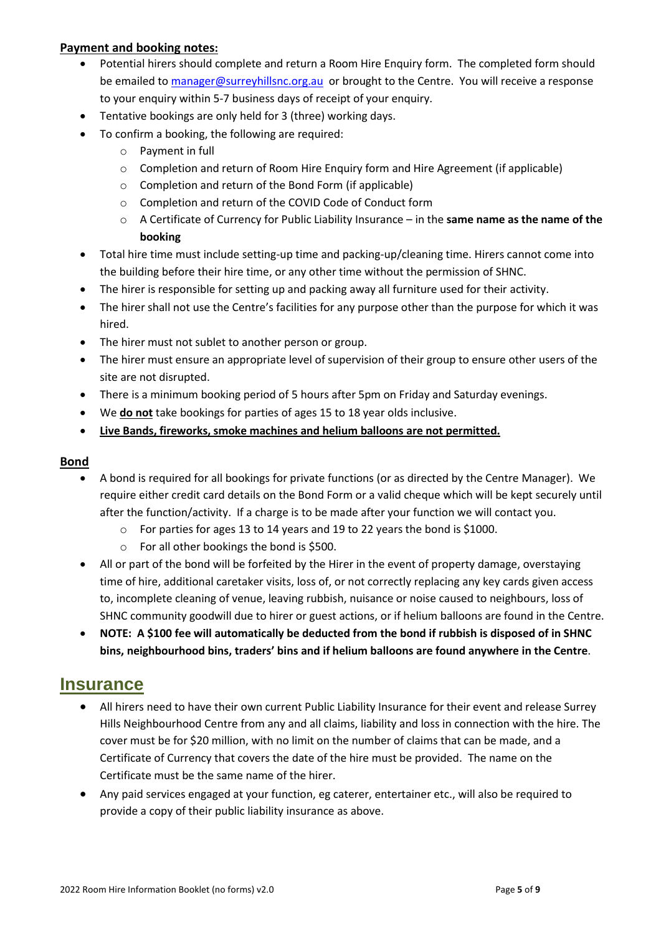#### **Payment and booking notes:**

- Potential hirers should complete and return a Room Hire Enquiry form. The completed form should be emailed to [manager@surreyhillsnc.org.au](mailto:manager@surreyhillsnc.org.au) or brought to the Centre. You will receive a response to your enquiry within 5-7 business days of receipt of your enquiry.
- Tentative bookings are only held for 3 (three) working days.
- To confirm a booking, the following are required:
	- o Payment in full
	- o Completion and return of Room Hire Enquiry form and Hire Agreement (if applicable)
	- o Completion and return of the Bond Form (if applicable)
	- o Completion and return of the COVID Code of Conduct form
	- o A Certificate of Currency for Public Liability Insurance in the **same name as the name of the booking**

- Total hire time must include setting-up time and packing-up/cleaning time. Hirers cannot come into the building before their hire time, or any other time without the permission of SHNC.
- The hirer is responsible for setting up and packing away all furniture used for their activity.
- The hirer shall not use the Centre's facilities for any purpose other than the purpose for which it was hired.
- The hirer must not sublet to another person or group.
- The hirer must ensure an appropriate level of supervision of their group to ensure other users of the site are not disrupted.
- There is a minimum booking period of 5 hours after 5pm on Friday and Saturday evenings.
- We **do not** take bookings for parties of ages 15 to 18 year olds inclusive.
- **Live Bands, fireworks, smoke machines and helium balloons are not permitted.**

#### **Bond**

- A bond is required for all bookings for private functions (or as directed by the Centre Manager). We require either credit card details on the Bond Form or a valid cheque which will be kept securely until after the function/activity. If a charge is to be made after your function we will contact you.
	- o For parties for ages 13 to 14 years and 19 to 22 years the bond is \$1000.
	- o For all other bookings the bond is \$500.
- All or part of the bond will be forfeited by the Hirer in the event of property damage, overstaying time of hire, additional caretaker visits, loss of, or not correctly replacing any key cards given access to, incomplete cleaning of venue, leaving rubbish, nuisance or noise caused to neighbours, loss of SHNC community goodwill due to hirer or guest actions, or if helium balloons are found in the Centre.
- **NOTE: A \$100 fee will automatically be deducted from the bond if rubbish is disposed of in SHNC bins, neighbourhood bins, traders' bins and if helium balloons are found anywhere in the Centre**.

## **Insurance**

- All hirers need to have their own current Public Liability Insurance for their event and release Surrey Hills Neighbourhood Centre from any and all claims, liability and loss in connection with the hire. The cover must be for \$20 million, with no limit on the number of claims that can be made, and a Certificate of Currency that covers the date of the hire must be provided. The name on the Certificate must be the same name of the hirer.
- Any paid services engaged at your function, eg caterer, entertainer etc., will also be required to provide a copy of their public liability insurance as above.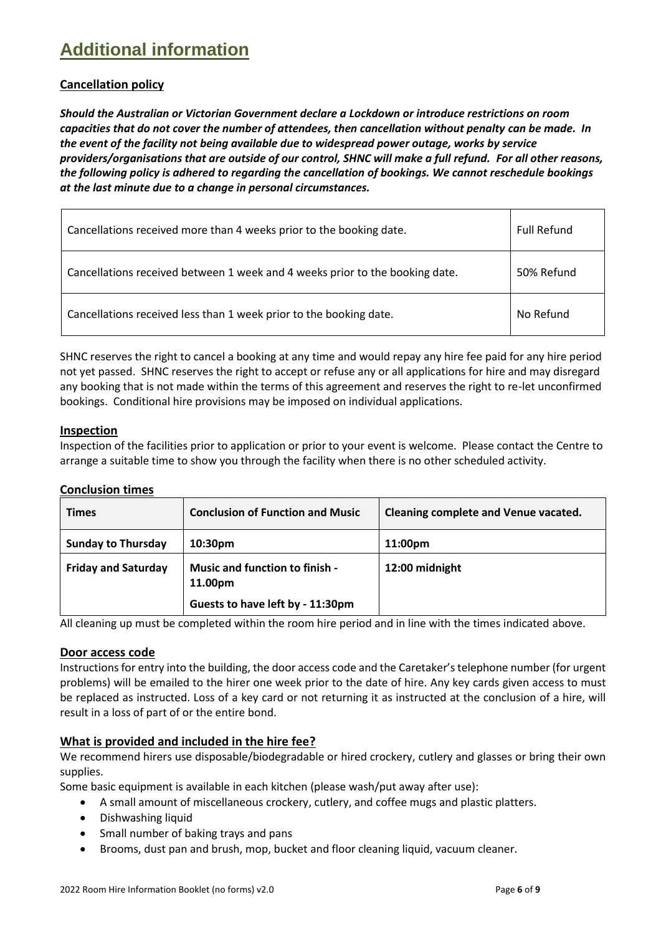# **Additional information**

### **Cancellation policy**

*Should the Australian or Victorian Government declare a Lockdown or introduce restrictions on room capacities that do not cover the number of attendees, then cancellation without penalty can be made. In the event of the facility not being available due to widespread power outage, works by service providers/organisations that are outside of our control, SHNC will make a full refund. For all other reasons, the following policy is adhered to regarding the cancellation of bookings. We cannot reschedule bookings at the last minute due to a change in personal circumstances.*

| Cancellations received more than 4 weeks prior to the booking date.          | <b>Full Refund</b> |
|------------------------------------------------------------------------------|--------------------|
| Cancellations received between 1 week and 4 weeks prior to the booking date. | 50% Refund         |
| Cancellations received less than 1 week prior to the booking date.           | No Refund          |

SHNC reserves the right to cancel a booking at any time and would repay any hire fee paid for any hire period not yet passed. SHNC reserves the right to accept or refuse any or all applications for hire and may disregard any booking that is not made within the terms of this agreement and reserves the right to re-let unconfirmed bookings. Conditional hire provisions may be imposed on individual applications.

#### **Inspection**

Inspection of the facilities prior to application or prior to your event is welcome. Please contact the Centre to arrange a suitable time to show you through the facility when there is no other scheduled activity.

#### **Conclusion times**

| <b>Times</b>               | <b>Conclusion of Function and Music</b>          | Cleaning complete and Venue vacated. |
|----------------------------|--------------------------------------------------|--------------------------------------|
| <b>Sunday to Thursday</b>  | 10:30 <sub>pm</sub>                              | 11:00pm                              |
| <b>Friday and Saturday</b> | <b>Music and function to finish -</b><br>11.00pm | 12:00 midnight                       |
|                            | Guests to have left by - 11:30pm                 |                                      |

All cleaning up must be completed within the room hire period and in line with the times indicated above.

#### **Door access code**

Instructions for entry into the building, the door access code and the Caretaker's telephone number (for urgent problems) will be emailed to the hirer one week prior to the date of hire. Any key cards given access to must be replaced as instructed. Loss of a key card or not returning it as instructed at the conclusion of a hire, will result in a loss of part of or the entire bond.

#### **What is provided and included in the hire fee?**

We recommend hirers use disposable/biodegradable or hired crockery, cutlery and glasses or bring their own supplies.

Some basic equipment is available in each kitchen (please wash/put away after use):

- A small amount of miscellaneous crockery, cutlery, and coffee mugs and plastic platters.
- Dishwashing liquid
- Small number of baking trays and pans
- Brooms, dust pan and brush, mop, bucket and floor cleaning liquid, vacuum cleaner.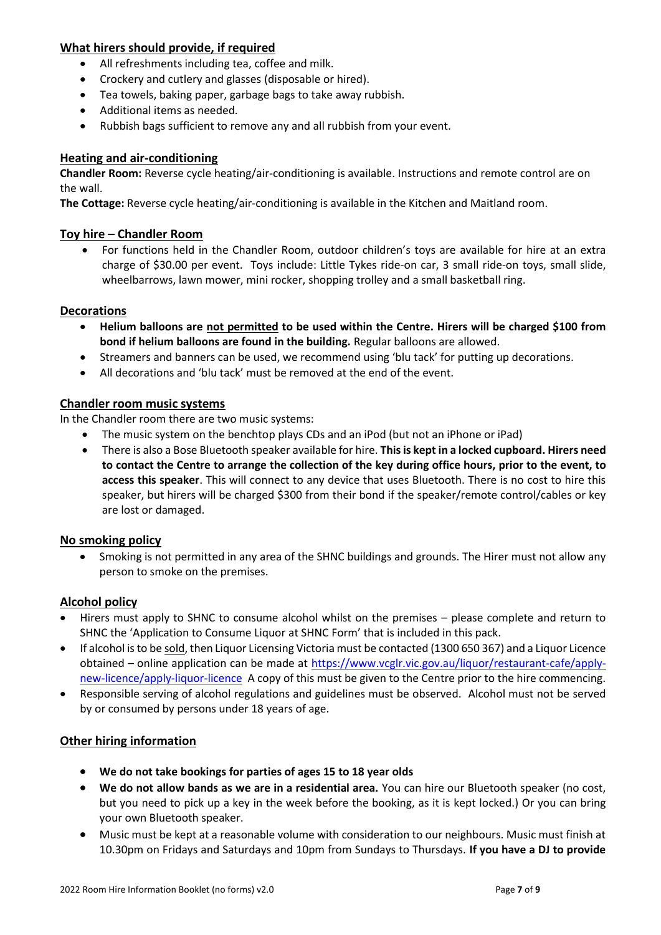#### **What hirers should provide, if required**

- All refreshments including tea, coffee and milk.
- Crockery and cutlery and glasses (disposable or hired).
- Tea towels, baking paper, garbage bags to take away rubbish.
- Additional items as needed.
- Rubbish bags sufficient to remove any and all rubbish from your event.

#### **Heating and air-conditioning**

**Chandler Room:** Reverse cycle heating/air-conditioning is available. Instructions and remote control are on the wall.

**The Cottage:** Reverse cycle heating/air-conditioning is available in the Kitchen and Maitland room.

#### **Toy hire – Chandler Room**

• For functions held in the Chandler Room, outdoor children's toys are available for hire at an extra charge of \$30.00 per event. Toys include: Little Tykes ride-on car, 3 small ride-on toys, small slide, wheelbarrows, lawn mower, mini rocker, shopping trolley and a small basketball ring.

#### **Decorations**

- **Helium balloons are not permitted to be used within the Centre. Hirers will be charged \$100 from bond if helium balloons are found in the building.** Regular balloons are allowed.
- Streamers and banners can be used, we recommend using 'blu tack' for putting up decorations.
- All decorations and 'blu tack' must be removed at the end of the event.

#### **Chandler room music systems**

In the Chandler room there are two music systems:

- The music system on the benchtop plays CDs and an iPod (but not an iPhone or iPad)
- There is also a Bose Bluetooth speaker available for hire. **This is kept in a locked cupboard. Hirers need to contact the Centre to arrange the collection of the key during office hours, prior to the event, to access this speaker**. This will connect to any device that uses Bluetooth. There is no cost to hire this speaker, but hirers will be charged \$300 from their bond if the speaker/remote control/cables or key are lost or damaged.

#### **No smoking policy**

• Smoking is not permitted in any area of the SHNC buildings and grounds. The Hirer must not allow any person to smoke on the premises.

#### **Alcohol policy**

- Hirers must apply to SHNC to consume alcohol whilst on the premises please complete and return to SHNC the 'Application to Consume Liquor at SHNC Form' that is included in this pack.
- If alcohol is to be sold, then Liquor Licensing Victoria must be contacted (1300 650 367) and a Liquor Licence obtained – online application can be made at [https://www.vcglr.vic.gov.au/liquor/restaurant-cafe/apply](https://www.vcglr.vic.gov.au/liquor/restaurant-cafe/apply-new-licence/apply-liquor-licence)[new-licence/apply-liquor-licence](https://www.vcglr.vic.gov.au/liquor/restaurant-cafe/apply-new-licence/apply-liquor-licence) A copy of this must be given to the Centre prior to the hire commencing.
- Responsible serving of alcohol regulations and guidelines must be observed. Alcohol must not be served by or consumed by persons under 18 years of age.

#### **Other hiring information**

- **We do not take bookings for parties of ages 15 to 18 year olds**
- **We do not allow bands as we are in a residential area.** You can hire our Bluetooth speaker (no cost, but you need to pick up a key in the week before the booking, as it is kept locked.) Or you can bring your own Bluetooth speaker.
- Music must be kept at a reasonable volume with consideration to our neighbours. Music must finish at 10.30pm on Fridays and Saturdays and 10pm from Sundays to Thursdays. **If you have a DJ to provide**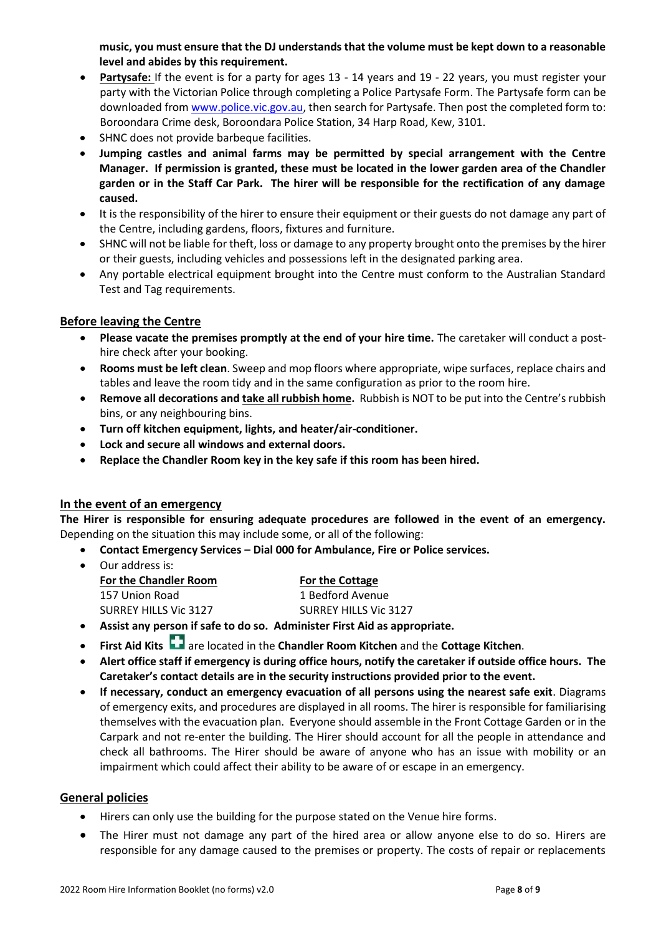**music, you must ensure that the DJ understands that the volume must be kept down to a reasonable level and abides by this requirement.**

- **Partysafe:** If the event is for a party for ages 13 14 years and 19 22 years, you must register your party with the Victorian Police through completing a Police Partysafe Form. The Partysafe form can be downloaded from [www.police.vic.gov.au,](http://www.police.vic.gov.au/) then search for Partysafe. Then post the completed form to: Boroondara Crime desk, Boroondara Police Station, 34 Harp Road, Kew, 3101.
- SHNC does not provide barbeque facilities.
- **Jumping castles and animal farms may be permitted by special arrangement with the Centre Manager. If permission is granted, these must be located in the lower garden area of the Chandler garden or in the Staff Car Park. The hirer will be responsible for the rectification of any damage caused.**
- It is the responsibility of the hirer to ensure their equipment or their guests do not damage any part of the Centre, including gardens, floors, fixtures and furniture.
- SHNC will not be liable for theft, loss or damage to any property brought onto the premises by the hirer or their guests, including vehicles and possessions left in the designated parking area.
- Any portable electrical equipment brought into the Centre must conform to the Australian Standard Test and Tag requirements.

#### **Before leaving the Centre**

- **Please vacate the premises promptly at the end of your hire time.** The caretaker will conduct a posthire check after your booking.
- **Rooms must be left clean**. Sweep and mop floors where appropriate, wipe surfaces, replace chairs and tables and leave the room tidy and in the same configuration as prior to the room hire.
- **Remove all decorations and take all rubbish home.** Rubbish is NOT to be put into the Centre's rubbish bins, or any neighbouring bins.
- **Turn off kitchen equipment, lights, and heater/air-conditioner.**
- **Lock and secure all windows and external doors.**
- **Replace the Chandler Room key in the key safe if this room has been hired.**

#### **In the event of an emergency**

**The Hirer is responsible for ensuring adequate procedures are followed in the event of an emergency.** Depending on the situation this may include some, or all of the following:

- **Contact Emergency Services – Dial 000 for Ambulance, Fire or Police services.**
- Our address is: **For the Chandler Room For the Cottage** 157 Union Road 157 Union Road 1 Bedford Avenue SURREY HILLS Vic 3127 SURREY HILLS Vic 3127
- **Assist any person if safe to do so. Administer First Aid as appropriate.**
- **First Aid Kits** are located in the **Chandler Room Kitchen** and the **Cottage Kitchen**.
- **Alert office staff if emergency is during office hours, notify the caretaker if outside office hours. The Caretaker's contact details are in the security instructions provided prior to the event.**
- **If necessary, conduct an emergency evacuation of all persons using the nearest safe exit**. Diagrams of emergency exits, and procedures are displayed in all rooms. The hirer is responsible for familiarising themselves with the evacuation plan. Everyone should assemble in the Front Cottage Garden or in the Carpark and not re-enter the building. The Hirer should account for all the people in attendance and check all bathrooms. The Hirer should be aware of anyone who has an issue with mobility or an impairment which could affect their ability to be aware of or escape in an emergency.

#### **General policies**

- Hirers can only use the building for the purpose stated on the Venue hire forms.
- The Hirer must not damage any part of the hired area or allow anyone else to do so. Hirers are responsible for any damage caused to the premises or property. The costs of repair or replacements